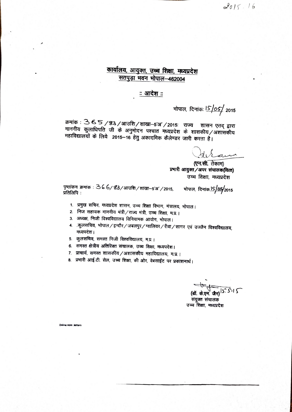$2015.16$ 

### कार्यालय, आयुक्त, उच्च शिक्षा, मध्यप्रदेश सतपुड़ा भवन भोपाल-462004

### <u>: आदेश :</u>

भोपाल, दिनांकः lS/oS/ <sub>2015</sub>

क्रमांक : 3 6 5 / 33 / आउशि/शाखा-5'अ' / 2015: राज्य शासन एतद् द्वारा माननीय कुलाधिपति जी के अनुमोदन पश्चात मध्यप्रदेश के शासकीय /अशासकीय महाविद्यालयों के लिये 2015-16 हेतु अकादमिक कैलेण्डर जारी करता है।

(एन.सी. तेकाम) प्रभारी आयुक्त /अपर संचालक(वित्त) उच्च शिक्षा, मध्यप्रदेश

पृष्ठांकन क्रमांक : 36 6/83/आउशि/शाखा–5'अ'/2015, भोपाल, दिनांक <mark>IS/05</mark>⁄2015 प्रतिलिपि:

- 1. प्रमुख सचिव, मध्यप्रदेश शासन, उच्च शिक्षा विभाग, मंत्रालय, भोपाल।
- 2. निज सहायक माननीय मंत्री/राज्य मंत्री, उच्च शिक्षा, म.प्र.।
- 3. अध्यक्ष, निजी विश्वविद्यालय विनियामक आयोग, भोपाल।
- 4. ्.कुलसचिव, भोपाल ⁄ इन्दौर ⁄ जबलपुर ⁄ ग्वालियर ⁄ रीवा ⁄ सागर एवं उज्जैन विश्वविद्यालय, मध्यपदेश।
- 5. कुलसचिव, समस्त निजी विश्वविद्यालय, म.प्र.।
- 6. समस्त क्षेत्रीय अतिरिक्त संचालक, उच्च शिक्षा, मध्यपदेश।
- ७. प्राचार्य, समस्त शासकीय/अशासकीय महाविद्यालय, म.प्र.।
- 8. प्रभारी आई.टी. सेल, उच्च शिक्षा, की ओर, वेबसाईट पर प्रकाशनार्थ।

(डॉ. के.एम. जैन) S. S'I S संयुक्त संचालक उच्च शिक्षा, मध्यप्रदेश

Online Adm Jetters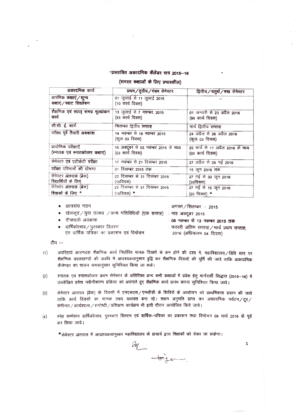#### -प्रस्तावित अकादमिक कैलेंडर सत्र 2015-16

#### (समस्त कक्षाओं के लिए प्रभावशील)

| अकादमिक कार्य                                           | प्रथम/तृतीय/पंचम सेमेस्टर                               | द्वितीय/चतुर्थ/षष्ठ सेमेस्टर                          |  |
|---------------------------------------------------------|---------------------------------------------------------|-------------------------------------------------------|--|
| आरंभिक <b>कक्षाएं / शून्य</b><br>कक्षाएं/स्वाट विश्लेषण | 01 जुलाई से 11 जुलाई 2015<br>$(10$ कार्य दिवस)          |                                                       |  |
| शैक्षणिक एवं सतत् समग्र मूल्यांकन<br>कार्य              | 13 जुलाई से 7 नवम्बर, 2015<br>(93 कार्य दिवस)           | 01 जनवरी से 23 अप्रैल 2016<br>(90 कार्य दिवस)         |  |
| सी.सी. ई. कार्य                                         | सितम्बर द्वितीय सप्ताह                                  | मार्च द्वितीय सप्ताह                                  |  |
| परीक्षा पूर्व तैयारी अवकाश                              | 14 नवम्बर से 16 नवम्बर 2015<br>(कुल 03 दिवस)            | 24 अप्रैल से 26 अप्रैल 2016<br>(कुल 03 दिवस)          |  |
| प्रायोगिक परीक्षाएँ<br>(स्नातक एवं स्नातकोत्तर कक्षाएं) | 15 अक्टूबर से 05 नवम्बर 2015 के मध्य<br>(03 कार्य दिवस) | 25 मार्च से 11 अप्रैल 2016 के मध्य<br>(03 कार्य दिवस) |  |
| सेमेस्टर एवं एटीकेटी परीक्षा                            | 17 नवम्बर से 21 दिसम्बर 2015                            | 27 अप्रैल से 26 मई 2016                               |  |
| परीक्षा परिणामों की घोषणा                               | 31 दिसम्बर 2015 तक                                      | 15 जून 2016 तक                                        |  |
| सेमेस्टर अंतराल (ब्रेक)<br>विद्यार्थियों के लिए         | 22 दिसम्बर से 31 दिसम्बर 2015<br>$(102$ वस)             | 27 मई से 30 जून 2016<br>(35दिवस)                      |  |
| सेमेस्टर अंतराल (ब्रेक)                                 | 22 दिसम्बर से 31 दिसम्बर 2015                           | 27 मई से 15 जून 2016                                  |  |
| शिक्षकों के लिए *                                       | (10दिवस) <b>*</b>                                       | (20 दिवस) *                                           |  |

छात्रसंघ गठन

ः अगस्त / सितम्बर – 2015

खेलकूद / युवा उत्सव /अन्य गतिविधियॉ (एक सप्ताह) : माह अक्टूबर 2015

दीपावली अवकाश

वार्षिकोत्सव / पुरस्कार वितरण एवं वार्षिक पत्रिका का प्रकाशन एवं विमोचन : 08 नवम्बर से 13 नवम्बर 2015 तक ः फरवरी अंतिम सप्ताह / मार्च प्रथम सप्ताह, 2016 (अधिकतम 04 दिवस)

 $\mathbf 1$ 

टीप :--

- अपरिहार्य कारणवश शैक्षणिक कार्य निर्धारित मानक दिवसों से कम होने की दशा में, महाविद्यालय / विवि स्तर पर  $(1)$ शैक्षणिक कालखण्डों की अवधि में आवश्यकतानुसार वृद्वि कर शैक्षणिक दिवसों की पूर्ति की जावे ताकि अकादमिक कैलेण्डर का पालन समयानुंसार सुनिश्चित किया जा सके।
- रनातक एवं स्नातकोत्तर प्रथम सेमेस्टर के अतिरिक्त अन्य सभी कक्षाओं में प्रवेश हेतु मार्गदर्शी सिद्धांत (2015–16) में  $(2)$ उल्लेखित प्रवेश नवीनीकरण प्रक्रिया को अपनाते हुए शैक्षणिक कार्य प्रारंभ करना सुनिश्चित किया जावे।
- सेमेस्टर अंतराल (ब्रेक) के दिवसों में एनएसएसं/एनसीसी के शिविरों के आयोजन को प्राथमिकता प्रदान की जावे  $(3)$ ताकि कार्य दिवसों का मानक लक्ष्य यथावत बना रहे। सक्षम अनुमति प्राप्त कर अकादमिक पर्यटन/टूर/ सेमीनार / कार्यशाला / संगोष्ठी / प्रशिक्षण कार्यक्रम भी इसी दौरान आयोजित किये जावे।
- स्नेह सम्मेलन वार्षिकोत्सव, पुरस्कार वितरण एवं वार्षिक–पत्रिका का प्रकाशन तथा विमोचन 09 मार्च 2016 के पूर्व  $(4)$ कर लिया जावे।

 $\begin{picture}(120,10) \put(0,0){\vector(1,0){10}} \put(15,0){\vector(1,0){10}} \put(15,0){\vector(1,0){10}} \put(15,0){\vector(1,0){10}} \put(15,0){\vector(1,0){10}} \put(15,0){\vector(1,0){10}} \put(15,0){\vector(1,0){10}} \put(15,0){\vector(1,0){10}} \put(15,0){\vector(1,0){10}} \put(15,0){\vector(1,0){10}} \put(15,0){\vector(1,0){10}} \put(15,0){\vector($ 

\*सेमेस्टर अंतराल में आवश्यकतानुसार महाविद्यालय के प्राचार्य द्वारा शिक्षकों को रोका जा सकेगा।